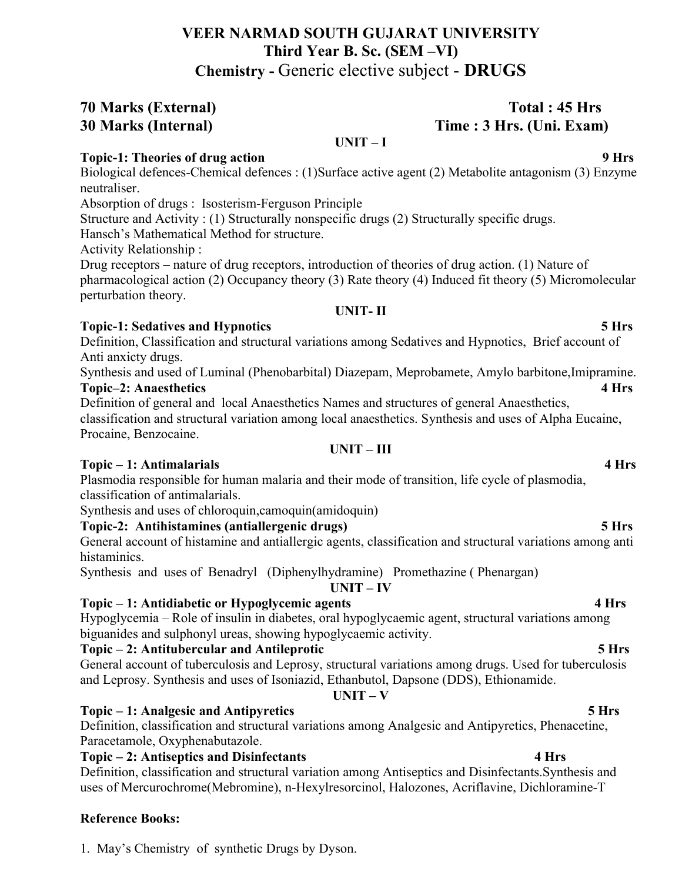# **VEER NARMAD SOUTH GUJARAT UNIVERSITY Third Year B. Sc. (SEM –VI) Chemistry -** Generic elective subject - **DRUGS**

**70 Marks (External) Total : 45 Hrs 30 Marks (Internal) Time : 3 Hrs. (Uni. Exam)** 

**UNIT – I**

# **Topic-1: Theories of drug action 9 Hrs**

Biological defences-Chemical defences : (1)Surface active agent (2) Metabolite antagonism (3) Enzyme neutraliser.

Absorption of drugs : Isosterism-Ferguson Principle

Structure and Activity : (1) Structurally nonspecific drugs (2) Structurally specific drugs.

Hansch's Mathematical Method for structure.

Activity Relationship :

Drug receptors – nature of drug receptors, introduction of theories of drug action. (1) Nature of pharmacological action (2) Occupancy theory (3) Rate theory (4) Induced fit theory (5) Micromolecular perturbation theory.

# **UNIT- II**

# **Topic-1: Sedatives and Hypnotics 5 Hrs**

Definition, Classification and structural variations among Sedatives and Hypnotics, Brief account of Anti anxicty drugs.

Synthesis and used of Luminal (Phenobarbital) Diazepam, Meprobamete, Amylo barbitone,Imipramine. **Topic–2: Anaesthetics 4 Hrs**

Definition of general and local Anaesthetics Names and structures of general Anaesthetics, classification and structural variation among local anaesthetics. Synthesis and uses of Alpha Eucaine, Procaine, Benzocaine.

# **UNIT – III**

# **Topic – 1: Antimalarials 4 Hrs**

Plasmodia responsible for human malaria and their mode of transition, life cycle of plasmodia, classification of antimalarials.

Synthesis and uses of chloroquin,camoquin(amidoquin)

# **Topic-2: Antihistamines (antiallergenic drugs) 5 Hrs**

General account of histamine and antiallergic agents, classification and structural variations among anti histaminics.

Synthesis and uses of Benadryl (Diphenylhydramine) Promethazine ( Phenargan)

**UNIT – IV**

# **Topic – 1: Antidiabetic or Hypoglycemic agents 4 Hrs**

Hypoglycemia – Role of insulin in diabetes, oral hypoglycaemic agent, structural variations among biguanides and sulphonyl ureas, showing hypoglycaemic activity.

# **Topic – 2: Antitubercular and Antileprotic 5 Hrs**

General account of tuberculosis and Leprosy, structural variations among drugs. Used for tuberculosis and Leprosy. Synthesis and uses of Isoniazid, Ethanbutol, Dapsone (DDS), Ethionamide.

# **UNIT – V**

# **Topic – 1: Analgesic and Antipyretics 5 Hrs**

Definition, classification and structural variations among Analgesic and Antipyretics, Phenacetine, Paracetamole, Oxyphenabutazole.

# **Topic – 2: Antiseptics and Disinfectants 4 Hrs**

Definition, classification and structural variation among Antiseptics and Disinfectants.Synthesis and uses of Mercurochrome(Mebromine), n-Hexylresorcinol, Halozones, Acriflavine, Dichloramine-T

# **Reference Books:**

1. May's Chemistry of synthetic Drugs by Dyson.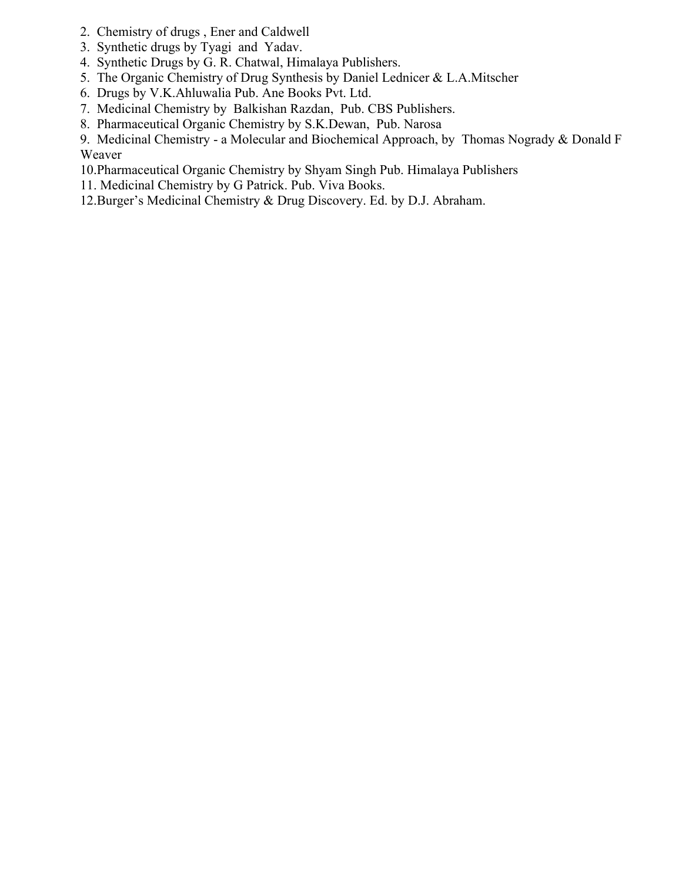- 2. Chemistry of drugs , Ener and Caldwell
- 3. Synthetic drugs by Tyagi and Yadav.
- 4. Synthetic Drugs by G. R. Chatwal, Himalaya Publishers.
- 5. The Organic Chemistry of Drug Synthesis by Daniel Lednicer & L.A.Mitscher
- 6. Drugs by V.K.Ahluwalia Pub. Ane Books Pvt. Ltd.
- 7. Medicinal Chemistry by Balkishan Razdan, Pub. CBS Publishers.
- 8. Pharmaceutical Organic Chemistry by S.K.Dewan, Pub. Narosa

9. Medicinal Chemistry - a Molecular and Biochemical Approach, by Thomas Nogrady & Donald F Weaver

10.Pharmaceutical Organic Chemistry by Shyam Singh Pub. Himalaya Publishers

11. Medicinal Chemistry by G Patrick. Pub. Viva Books.

12.Burger's Medicinal Chemistry & Drug Discovery. Ed. by D.J. Abraham.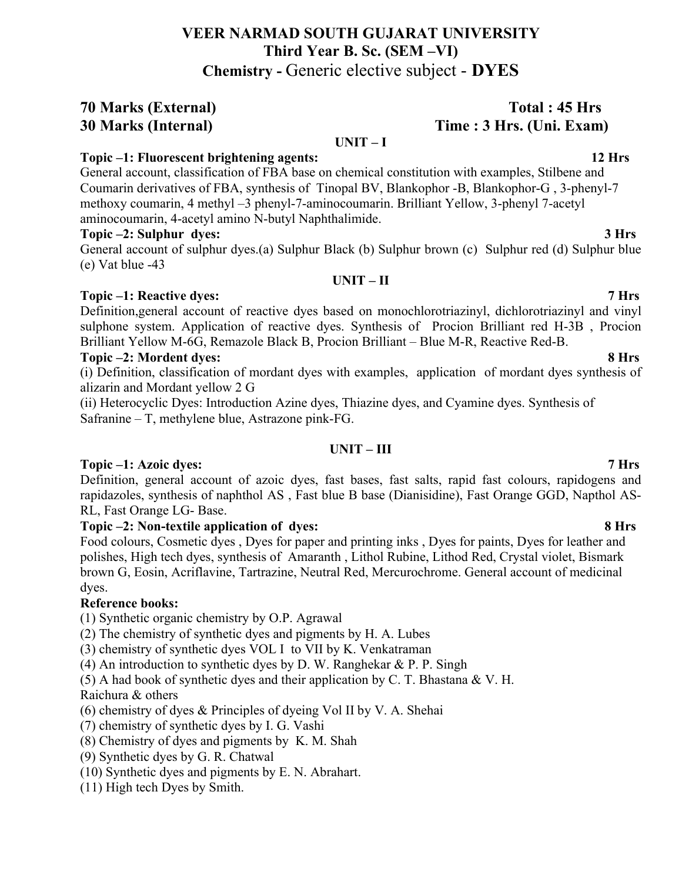# **VEER NARMAD SOUTH GUJARAT UNIVERSITY Third Year B. Sc. (SEM –VI) Chemistry -** Generic elective subject - **DYES**

# **70 Marks (External) Total : 45 Hrs**

### **UNIT – I**

## **Topic –1: Fluorescent brightening agents: 12 Hrs**

General account, classification of FBA base on chemical constitution with examples, Stilbene and Coumarin derivatives of FBA, synthesis of Tinopal BV, Blankophor -B, Blankophor-G , 3-phenyl-7 methoxy coumarin, 4 methyl –3 phenyl-7-aminocoumarin. Brilliant Yellow, 3-phenyl 7-acetyl aminocoumarin, 4-acetyl amino N-butyl Naphthalimide.

### **Topic –2: Sulphur dyes: 3 Hrs**

General account of sulphur dyes.(a) Sulphur Black (b) Sulphur brown (c) Sulphur red (d) Sulphur blue (e) Vat blue -43

### **UNIT – II**

### **Topic –1: Reactive dyes: 7 Hrs**

Definition,general account of reactive dyes based on monochlorotriazinyl, dichlorotriazinyl and vinyl sulphone system. Application of reactive dyes. Synthesis of Procion Brilliant red H-3B , Procion Brilliant Yellow M-6G, Remazole Black B, Procion Brilliant – Blue M-R, Reactive Red-B.

### **Topic –2: Mordent dyes: 8 Hrs**

(i) Definition, classification of mordant dyes with examples, application of mordant dyes synthesis of alizarin and Mordant yellow 2 G

(ii) Heterocyclic Dyes: Introduction Azine dyes, Thiazine dyes, and Cyamine dyes. Synthesis of Safranine – T, methylene blue, Astrazone pink-FG.

## **UNIT – III**

# **Topic –1: Azoic dyes: 7 Hrs**

Definition, general account of azoic dyes, fast bases, fast salts, rapid fast colours, rapidogens and rapidazoles, synthesis of naphthol AS , Fast blue B base (Dianisidine), Fast Orange GGD, Napthol AS-RL, Fast Orange LG- Base.

### **Topic –2: Non-textile application of dyes: 8 Hrs**

Food colours, Cosmetic dyes , Dyes for paper and printing inks , Dyes for paints, Dyes for leather and polishes, High tech dyes, synthesis of Amaranth , Lithol Rubine, Lithod Red, Crystal violet, Bismark brown G, Eosin, Acriflavine, Tartrazine, Neutral Red, Mercurochrome. General account of medicinal dyes.

# **Reference books:**

(1) Synthetic organic chemistry by O.P. Agrawal

(2) The chemistry of synthetic dyes and pigments by H. A. Lubes

(3) chemistry of synthetic dyes VOL I to VII by K. Venkatraman

(4) An introduction to synthetic dyes by D. W. Ranghekar  $\&$  P. P. Singh

(5) A had book of synthetic dyes and their application by C. T. Bhastana & V. H.

# Raichura & others

(6) chemistry of dyes & Principles of dyeing Vol II by V. A. Shehai

(7) chemistry of synthetic dyes by I. G. Vashi

- (8) Chemistry of dyes and pigments by K. M. Shah
- (9) Synthetic dyes by G. R. Chatwal
- (10) Synthetic dyes and pigments by E. N. Abrahart.
- (11) High tech Dyes by Smith.

# **30 Marks (Internal) Time : 3 Hrs. (Uni. Exam)**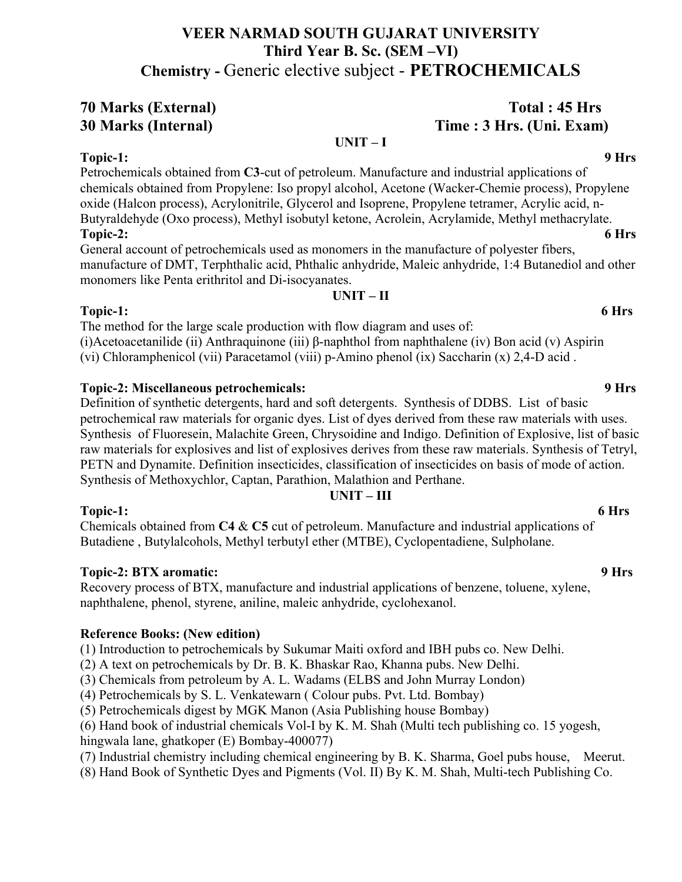# **VEER NARMAD SOUTH GUJARAT UNIVERSITY Third Year B. Sc. (SEM –VI) Chemistry -** Generic elective subject - **PETROCHEMICALS**

# **70 Marks (External) Total : 45 Hrs 30 Marks (Internal) Time : 3 Hrs. (Uni. Exam)**

# **UNIT – I**

# **Topic-1: 9 Hrs**

Petrochemicals obtained from **C3**-cut of petroleum. Manufacture and industrial applications of chemicals obtained from Propylene: Iso propyl alcohol, Acetone (Wacker-Chemie process), Propylene oxide (Halcon process), Acrylonitrile, Glycerol and Isoprene, Propylene tetramer, Acrylic acid, n-Butyraldehyde (Oxo process), Methyl isobutyl ketone, Acrolein, Acrylamide, Methyl methacrylate. **Topic-2: 6 Hrs** 

General account of petrochemicals used as monomers in the manufacture of polyester fibers, manufacture of DMT, Terphthalic acid, Phthalic anhydride, Maleic anhydride, 1:4 Butanediol and other monomers like Penta erithritol and Di-isocyanates.

**UNIT – II**

# **Topic-1: 6 Hrs**

The method for the large scale production with flow diagram and uses of: (i)Acetoacetanilide (ii) Anthraquinone (iii) β-naphthol from naphthalene (iv) Bon acid (v) Aspirin (vi) Chloramphenicol (vii) Paracetamol (viii) p-Amino phenol (ix) Saccharin (x) 2,4-D acid .

# **Topic-2: Miscellaneous petrochemicals: 9 Hrs**

Definition of synthetic detergents, hard and soft detergents. Synthesis of DDBS. List of basic petrochemical raw materials for organic dyes. List of dyes derived from these raw materials with uses. Synthesis of Fluoresein, Malachite Green, Chrysoidine and Indigo. Definition of Explosive, list of basic raw materials for explosives and list of explosives derives from these raw materials. Synthesis of Tetryl, PETN and Dynamite. Definition insecticides, classification of insecticides on basis of mode of action. Synthesis of Methoxychlor, Captan, Parathion, Malathion and Perthane.

# **UNIT – III**

# **Topic-1: 6 Hrs**

Chemicals obtained from **C4** & **C5** cut of petroleum. Manufacture and industrial applications of Butadiene , Butylalcohols, Methyl terbutyl ether (MTBE), Cyclopentadiene, Sulpholane.

# **Topic-2: BTX aromatic:** 9 Hrs **9 Hrs 9 Around 2: 9 Hrs 9 Hrs 9 Around 2: 9 Hrs 9 Hrs**

Recovery process of BTX, manufacture and industrial applications of benzene, toluene, xylene, naphthalene, phenol, styrene, aniline, maleic anhydride, cyclohexanol.

# **Reference Books: (New edition)**

(1) Introduction to petrochemicals by Sukumar Maiti oxford and IBH pubs co. New Delhi.

(2) A text on petrochemicals by Dr. B. K. Bhaskar Rao, Khanna pubs. New Delhi.

(3) Chemicals from petroleum by A. L. Wadams (ELBS and John Murray London)

(4) Petrochemicals by S. L. Venkatewarn ( Colour pubs. Pvt. Ltd. Bombay)

(5) Petrochemicals digest by MGK Manon (Asia Publishing house Bombay)

(6) Hand book of industrial chemicals Vol-I by K. M. Shah (Multi tech publishing co. 15 yogesh, hingwala lane, ghatkoper (E) Bombay-400077)

(7) Industrial chemistry including chemical engineering by B. K. Sharma, Goel pubs house, Meerut.

(8) Hand Book of Synthetic Dyes and Pigments (Vol. II) By K. M. Shah, Multi-tech Publishing Co.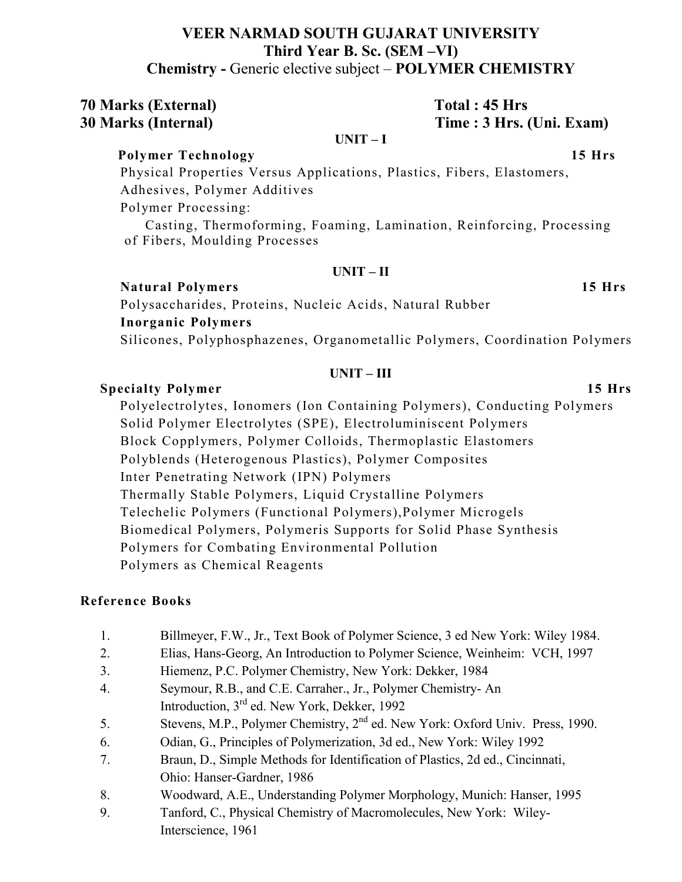# **VEER NARMAD SOUTH GUJARAT UNIVERSITY Third Year B. Sc. (SEM –VI) Chemistry -** Generic elective subject – **POLYMER CHEMISTRY**

**70 Marks (External) Total : 45 Hrs 30 Marks (Internal) Time : 3 Hrs. (Uni. Exam)** 

### **UNIT – I**

 **Polymer Technology 15 Hrs**

Physical Properties Versus Applications, Plastics, Fibers, Elastomers, Adhesives, Polymer Additives

Polymer Processing:

 Casting, Thermoforming, Foaming, Lamination, Reinforcing, Processing of Fibers, Moulding Processes

### **UNIT – II**

# **Natural Polymers 15 Hrs**

Polysaccharides, Proteins, Nucleic Acids, Natural Rubber **Inorganic Polymers**

Silicones, Polyphosphazenes, Organometallic Polymers, Coordination Polymers

## **UNIT – III**

# **Specialty Polymer 15 Hrs**

 Polyelectrolytes, Ionomers (Ion Containing Polymers), Conducting Polymers Solid Polymer Electrolytes (SPE), Electroluminiscent Polymers Block Copplymers, Polymer Colloids, Thermoplastic Elastomers Polyblends (Heterogenous Plastics), Polymer Composites Inter Penetrating Network (IPN) Polymers Thermally Stable Polymers, Liquid Crystalline Polymers Telechelic Polymers (Functional Polymers),Polymer Microgels Biomedical Polymers, Polymeris Supports for Solid Phase Synthesis Polymers for Combating Environmental Pollution Polymers as Chemical Reagents

# **Reference Books**

- 1. Billmeyer, F.W., Jr., Text Book of Polymer Science, 3 ed New York: Wiley 1984.
- 2. Elias, Hans-Georg, An Introduction to Polymer Science, Weinheim: VCH, 1997
- 3. Hiemenz, P.C. Polymer Chemistry, New York: Dekker, 1984
- 4. Seymour, R.B., and C.E. Carraher., Jr., Polymer Chemistry- An Introduction, 3rd ed. New York, Dekker, 1992
- 5. Stevens, M.P., Polymer Chemistry, 2nd ed. New York: Oxford Univ. Press, 1990.
- 6. Odian, G., Principles of Polymerization, 3d ed., New York: Wiley 1992
- 7. Braun, D., Simple Methods for Identification of Plastics, 2d ed., Cincinnati, Ohio: Hanser-Gardner, 1986
- 8. Woodward, A.E., Understanding Polymer Morphology, Munich: Hanser, 1995
- 9. Tanford, C., Physical Chemistry of Macromolecules, New York: Wiley-Interscience, 1961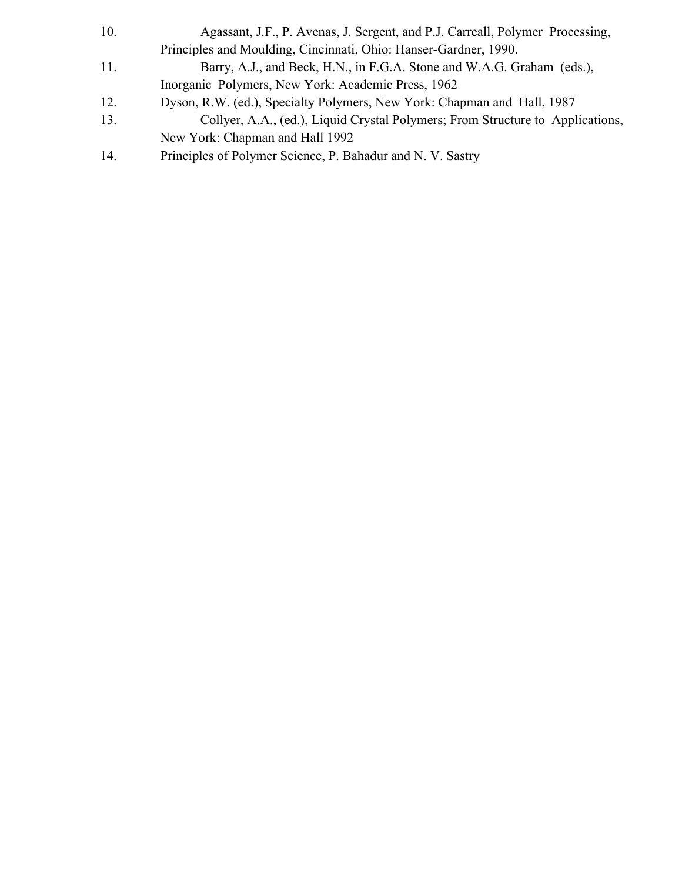| 10. | Agassant, J.F., P. Avenas, J. Sergent, and P.J. Carreall, Polymer Processing,  |
|-----|--------------------------------------------------------------------------------|
|     | Principles and Moulding, Cincinnati, Ohio: Hanser-Gardner, 1990.               |
| 11. | Barry, A.J., and Beck, H.N., in F.G.A. Stone and W.A.G. Graham (eds.),         |
|     | Inorganic Polymers, New York: Academic Press, 1962                             |
| 12. | Dyson, R.W. (ed.), Specialty Polymers, New York: Chapman and Hall, 1987        |
| 13. | Collyer, A.A., (ed.), Liquid Crystal Polymers; From Structure to Applications, |
|     | New York: Chapman and Hall 1992                                                |
|     |                                                                                |

14. Principles of Polymer Science, P. Bahadur and N. V. Sastry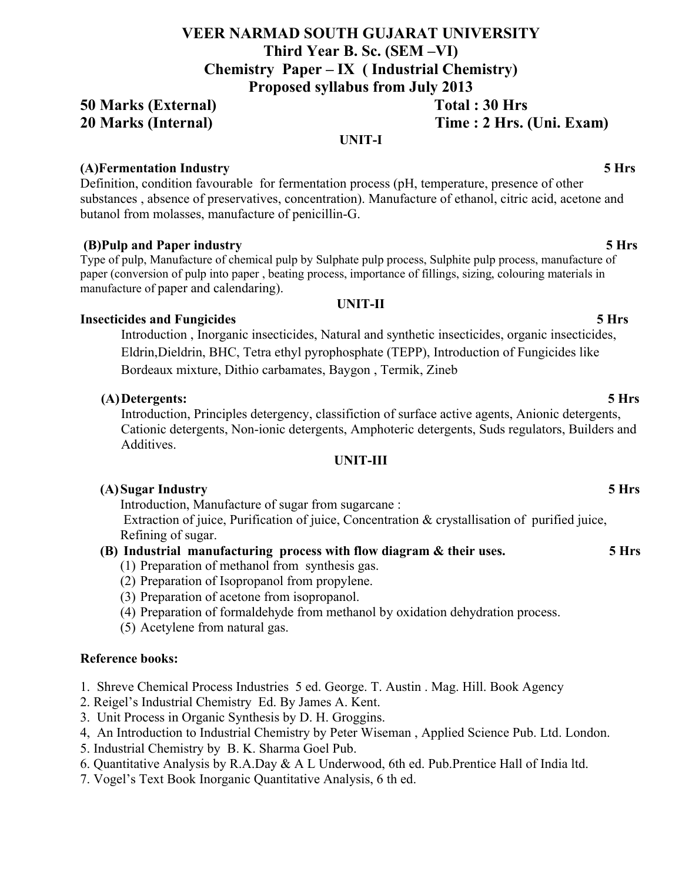# **VEER NARMAD SOUTH GUJARAT UNIVERSITY Third Year B. Sc. (SEM –VI) Chemistry Paper – IX ( Industrial Chemistry)**

**Proposed syllabus from July 2013**

# **50 Marks (External) Total : 30 Hrs 20 Marks (Internal) Time : 2 Hrs. (Uni. Exam)**

## **UNIT-I**

# **(A)Fermentation Industry 5 Hrs**

Definition, condition favourable for fermentation process (pH, temperature, presence of other substances , absence of preservatives, concentration). Manufacture of ethanol, citric acid, acetone and butanol from molasses, manufacture of penicillin-G.

# **(B)Pulp and Paper industry 5 Hrs**

Type of pulp, Manufacture of chemical pulp by Sulphate pulp process, Sulphite pulp process, manufacture of paper (conversion of pulp into paper , beating process, importance of fillings, sizing, colouring materials in manufacture of paper and calendaring).

# **Insecticides and Fungicides 5 Hrs**

Introduction , Inorganic insecticides, Natural and synthetic insecticides, organic insecticides, Eldrin,Dieldrin, BHC, Tetra ethyl pyrophosphate (TEPP), Introduction of Fungicides like Bordeaux mixture, Dithio carbamates, Baygon , Termik, Zineb

# **(A)Detergents: 5 Hrs**

Introduction, Principles detergency, classifiction of surface active agents, Anionic detergents, Cationic detergents, Non-ionic detergents, Amphoteric detergents, Suds regulators, Builders and Additives.

# **UNIT-III**

# **(A)Sugar Industry 5 Hrs**

Introduction, Manufacture of sugar from sugarcane :

Extraction of juice, Purification of juice, Concentration & crystallisation of purified juice, Refining of sugar.

# **(B) Industrial manufacturing process with flow diagram & their uses. 5 Hrs**

- (1) Preparation of methanol from synthesis gas.
- (2) Preparation of Isopropanol from propylene.
- (3) Preparation of acetone from isopropanol.
- (4) Preparation of formaldehyde from methanol by oxidation dehydration process.
- (5) Acetylene from natural gas.

# **Reference books:**

- 1. Shreve Chemical Process Industries 5 ed. George. T. Austin . Mag. Hill. Book Agency
- 2. Reigel's Industrial Chemistry Ed. By James A. Kent.
- 3. Unit Process in Organic Synthesis by D. H. Groggins.
- 4, An Introduction to Industrial Chemistry by Peter Wiseman , Applied Science Pub. Ltd. London.
- 5. Industrial Chemistry by B. K. Sharma Goel Pub.
- 6. Quantitative Analysis by R.A.Day & A L Underwood, 6th ed. Pub.Prentice Hall of India ltd.
- 7. Vogel's Text Book Inorganic Quantitative Analysis, 6 th ed.

# **UNIT-II**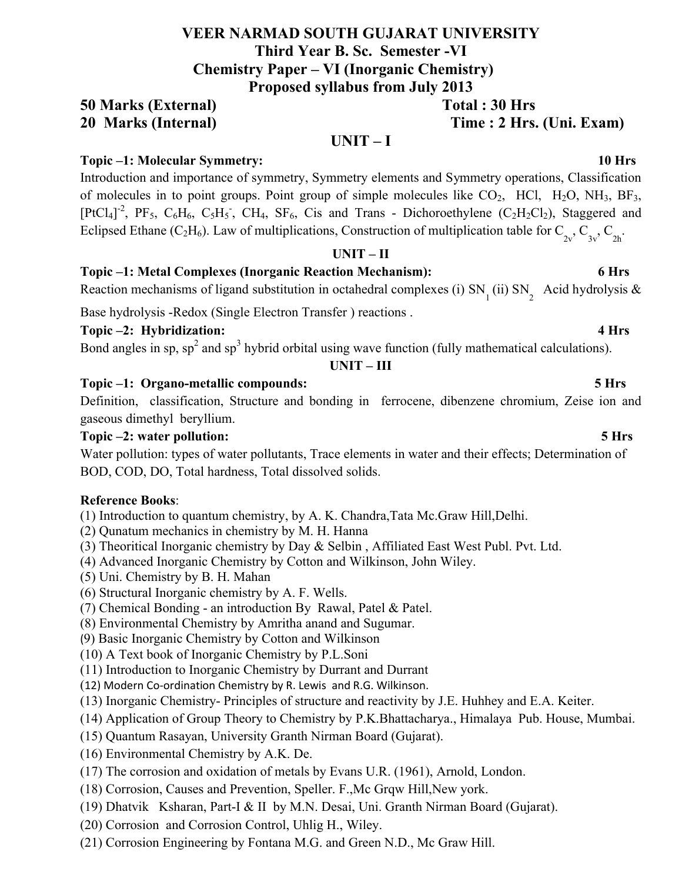# **VEER NARMAD SOUTH GUJARAT UNIVERSITY Third Year B. Sc. Semester -VI Chemistry Paper – VI (Inorganic Chemistry) Proposed syllabus from July 2013**

# **50 Marks (External) Total : 30 Hrs 20 Marks (Internal) Time : 2 Hrs. (Uni. Exam)**

# **Topic –1: Molecular Symmetry: 10 Hrs**

Introduction and importance of symmetry, Symmetry elements and Symmetry operations, Classification of molecules in to point groups. Point group of simple molecules like  $CO_2$ , HCl, H<sub>2</sub>O, NH<sub>3</sub>, BF<sub>3</sub>, [PtCl<sub>4</sub>]<sup>-2</sup>, PF<sub>5</sub>, C<sub>6</sub>H<sub>6</sub>, C<sub>5</sub>H<sub>5</sub><sup>-</sup>, CH<sub>4</sub>, SF<sub>6</sub>, Cis and Trans - Dichoroethylene (C<sub>2</sub>H<sub>2</sub>Cl<sub>2</sub>), Staggered and Eclipsed Ethane (C<sub>2</sub>H<sub>6</sub>). Law of multiplications, Construction of multiplication table for C<sub>2v</sub>, C<sub>3v</sub>, C<sub>2b</sub>.

**UNIT – I**

### **UNIT – II**

# **Topic –1: Metal Complexes (Inorganic Reaction Mechanism): 6 Hrs**

Reaction mechanisms of ligand substitution in octahedral complexes (i)  $SN_{1}$  (ii)  $SN_{2}$  Acid hydrolysis &

Base hydrolysis -Redox (Single Electron Transfer ) reactions .

**Topic –2: Hybridization: 4 Hrs**

Bond angles in sp,  $sp^2$  and  $sp^3$  hybrid orbital using wave function (fully mathematical calculations).

# **UNIT – III**

# **Topic –1: Organo-metallic compounds: 5 Hrs**

Definition, classification, Structure and bonding in ferrocene, dibenzene chromium, Zeise ion and gaseous dimethyl beryllium.

# **Topic –2: water pollution: 5 Hrs**

Water pollution: types of water pollutants, Trace elements in water and their effects; Determination of BOD, COD, DO, Total hardness, Total dissolved solids.

# **Reference Books**:

(1) Introduction to quantum chemistry, by A. K. Chandra,Tata Mc.Graw Hill,Delhi.

- (2) Qunatum mechanics in chemistry by M. H. Hanna
- (3) Theoritical Inorganic chemistry by Day & Selbin , Affiliated East West Publ. Pvt. Ltd.
- (4) Advanced Inorganic Chemistry by Cotton and Wilkinson, John Wiley.
- (5) Uni. Chemistry by B. H. Mahan
- (6) Structural Inorganic chemistry by A. F. Wells.
- (7) Chemical Bonding an introduction By Rawal, Patel & Patel.
- (8) Environmental Chemistry by Amritha anand and Sugumar.
- (9) Basic Inorganic Chemistry by Cotton and Wilkinson
- (10) A Text book of Inorganic Chemistry by P.L.Soni
- (11) Introduction to Inorganic Chemistry by Durrant and Durrant
- (12) Modern Co-ordination Chemistry by R. Lewis and R.G. Wilkinson.
- (13) Inorganic Chemistry- Principles of structure and reactivity by J.E. Huhhey and E.A. Keiter.
- (14) Application of Group Theory to Chemistry by P.K.Bhattacharya., Himalaya Pub. House, Mumbai.
- (15) Quantum Rasayan, University Granth Nirman Board (Gujarat).
- (16) Environmental Chemistry by A.K. De.
- (17) The corrosion and oxidation of metals by Evans U.R. (1961), Arnold, London.
- (18) Corrosion, Causes and Prevention, Speller. F.,Mc Grqw Hill,New york.
- (19) Dhatvik Ksharan, Part-I & II by M.N. Desai, Uni. Granth Nirman Board (Gujarat).
- (20) Corrosion and Corrosion Control, Uhlig H., Wiley.
- (21) Corrosion Engineering by Fontana M.G. and Green N.D., Mc Graw Hill.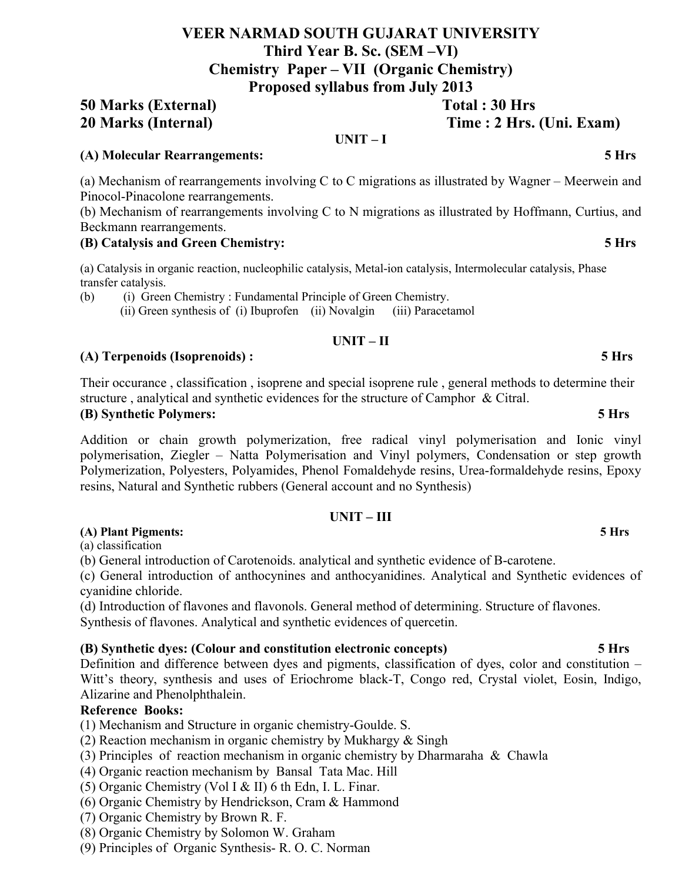# **VEER NARMAD SOUTH GUJARAT UNIVERSITY Third Year B. Sc. (SEM –VI) Chemistry Paper – VII (Organic Chemistry) Proposed syllabus from July 2013**

# **50 Marks (External) Total : 30 Hrs 20 Marks (Internal) Time : 2 Hrs. (Uni. Exam)**

**UNIT – I**

## **(A) Molecular Rearrangements: 5 Hrs**

(a) Mechanism of rearrangements involving C to C migrations as illustrated by Wagner – Meerwein and Pinocol-Pinacolone rearrangements.

(b) Mechanism of rearrangements involving C to N migrations as illustrated by Hoffmann, Curtius, and Beckmann rearrangements.

### **(B) Catalysis and Green Chemistry: 5 Hrs**

(a) Catalysis in organic reaction, nucleophilic catalysis, Metal-ion catalysis, Intermolecular catalysis, Phase transfer catalysis.

(b) (i) Green Chemistry : Fundamental Principle of Green Chemistry. (ii) Green synthesis of (i) Ibuprofen (ii) Novalgin (iii) Paracetamol

### **UNIT – II**

### **(A) Terpenoids (Isoprenoids) : 5 Hrs**

Their occurance , classification , isoprene and special isoprene rule , general methods to determine their structure , analytical and synthetic evidences for the structure of Camphor & Citral.

### **(B) Synthetic Polymers: 5 Hrs**

Addition or chain growth polymerization, free radical vinyl polymerisation and Ionic vinyl polymerisation, Ziegler – Natta Polymerisation and Vinyl polymers, Condensation or step growth Polymerization, Polyesters, Polyamides, Phenol Fomaldehyde resins, Urea-formaldehyde resins, Epoxy resins, Natural and Synthetic rubbers (General account and no Synthesis)

**UNIT – III**

# **(A) Plant Pigments: 5 Hrs**

(a) classification

(b) General introduction of Carotenoids. analytical and synthetic evidence of B-carotene.

(c) General introduction of anthocynines and anthocyanidines. Analytical and Synthetic evidences of cyanidine chloride.

(d) Introduction of flavones and flavonols. General method of determining. Structure of flavones. Synthesis of flavones. Analytical and synthetic evidences of quercetin.

### **(B) Synthetic dyes: (Colour and constitution electronic concepts) 5 Hrs**

Definition and difference between dyes and pigments, classification of dyes, color and constitution – Witt's theory, synthesis and uses of Eriochrome black-T, Congo red, Crystal violet, Eosin, Indigo, Alizarine and Phenolphthalein.

### **Reference Books:**

- (1) Mechanism and Structure in organic chemistry-Goulde. S.
- (2) Reaction mechanism in organic chemistry by Mukhargy & Singh
- (3) Principles of reaction mechanism in organic chemistry by Dharmaraha & Chawla
- (4) Organic reaction mechanism by Bansal Tata Mac. Hill
- (5) Organic Chemistry (Vol I & II) 6 th Edn, I. L. Finar.
- (6) Organic Chemistry by Hendrickson, Cram & Hammond
- (7) Organic Chemistry by Brown R. F.
- (8) Organic Chemistry by Solomon W. Graham
- (9) Principles of Organic Synthesis- R. O. C. Norman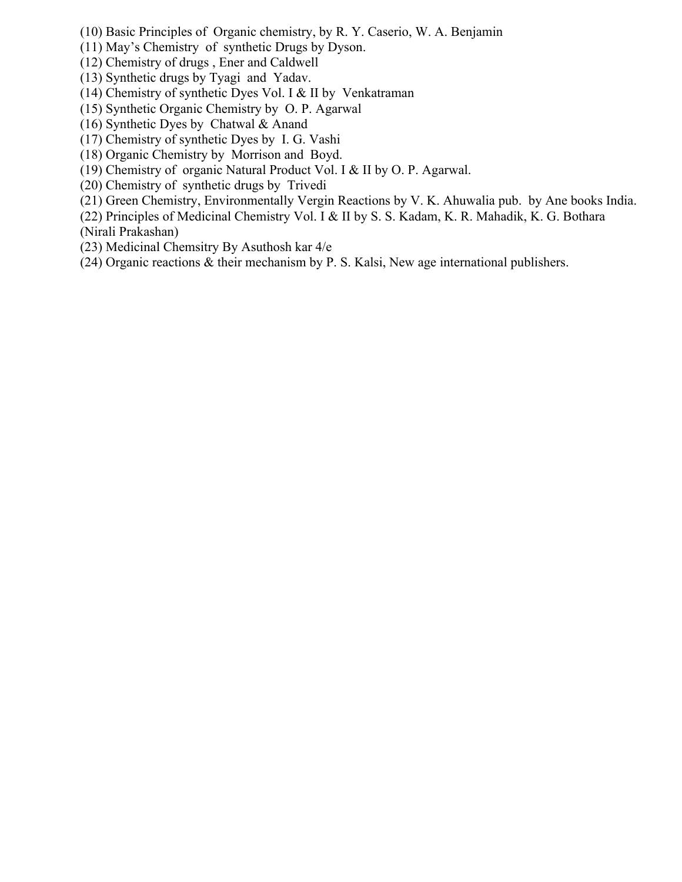- (10) Basic Principles of Organic chemistry, by R. Y. Caserio, W. A. Benjamin
- (11) May's Chemistry of synthetic Drugs by Dyson.
- (12) Chemistry of drugs , Ener and Caldwell
- (13) Synthetic drugs by Tyagi and Yadav.
- (14) Chemistry of synthetic Dyes Vol. I & II by Venkatraman
- (15) Synthetic Organic Chemistry by O. P. Agarwal
- (16) Synthetic Dyes by Chatwal & Anand
- (17) Chemistry of synthetic Dyes by I. G. Vashi
- (18) Organic Chemistry by Morrison and Boyd.
- (19) Chemistry of organic Natural Product Vol. I & II by O. P. Agarwal.
- (20) Chemistry of synthetic drugs by Trivedi
- (21) Green Chemistry, Environmentally Vergin Reactions by V. K. Ahuwalia pub. by Ane books India.
- (22) Principles of Medicinal Chemistry Vol. I & II by S. S. Kadam, K. R. Mahadik, K. G. Bothara (Nirali Prakashan)
- (23) Medicinal Chemsitry By Asuthosh kar 4/e
- (24) Organic reactions & their mechanism by P. S. Kalsi, New age international publishers.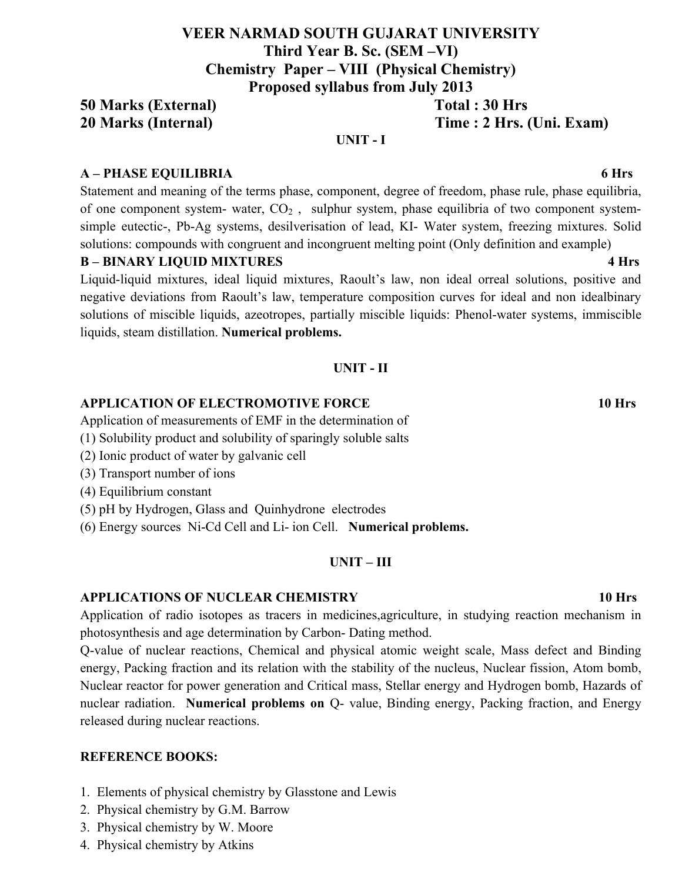# **VEER NARMAD SOUTH GUJARAT UNIVERSITY Third Year B. Sc. (SEM –VI) Chemistry Paper – VIII (Physical Chemistry) Proposed syllabus from July 2013**

# **50 Marks (External) Total : 30 Hrs 20 Marks (Internal) Time : 2 Hrs. (Uni. Exam)**

## **UNIT - I**

## **A – PHASE EQUILIBRIA 6 Hrs**

Statement and meaning of the terms phase, component, degree of freedom, phase rule, phase equilibria, of one component system- water,  $CO<sub>2</sub>$ , sulphur system, phase equilibria of two component systemsimple eutectic-, Pb-Ag systems, desilverisation of lead, KI- Water system, freezing mixtures. Solid solutions: compounds with congruent and incongruent melting point (Only definition and example)

## **B – BINARY LIQUID MIXTURES 4 Hrs**

Liquid-liquid mixtures, ideal liquid mixtures, Raoult's law, non ideal orreal solutions, positive and negative deviations from Raoult's law, temperature composition curves for ideal and non idealbinary solutions of miscible liquids, azeotropes, partially miscible liquids: Phenol-water systems, immiscible liquids, steam distillation. **Numerical problems.**

## **UNIT - II**

## **APPLICATION OF ELECTROMOTIVE FORCE 10 Hrs**

Application of measurements of EMF in the determination of

- (1) Solubility product and solubility of sparingly soluble salts
- (2) Ionic product of water by galvanic cell
- (3) Transport number of ions
- (4) Equilibrium constant
- (5) pH by Hydrogen, Glass and Quinhydrone electrodes

(6) Energy sources Ni-Cd Cell and Li- ion Cell. **Numerical problems.**

### **UNIT – III**

### **APPLICATIONS OF NUCLEAR CHEMISTRY 10 Hrs**

Application of radio isotopes as tracers in medicines,agriculture, in studying reaction mechanism in photosynthesis and age determination by Carbon- Dating method.

Q-value of nuclear reactions, Chemical and physical atomic weight scale, Mass defect and Binding energy, Packing fraction and its relation with the stability of the nucleus, Nuclear fission, Atom bomb, Nuclear reactor for power generation and Critical mass, Stellar energy and Hydrogen bomb, Hazards of nuclear radiation. **Numerical problems on** Q- value, Binding energy, Packing fraction, and Energy released during nuclear reactions.

### **REFERENCE BOOKS:**

- 1. Elements of physical chemistry by Glasstone and Lewis
- 2. Physical chemistry by G.M. Barrow
- 3. Physical chemistry by W. Moore
- 4. Physical chemistry by Atkins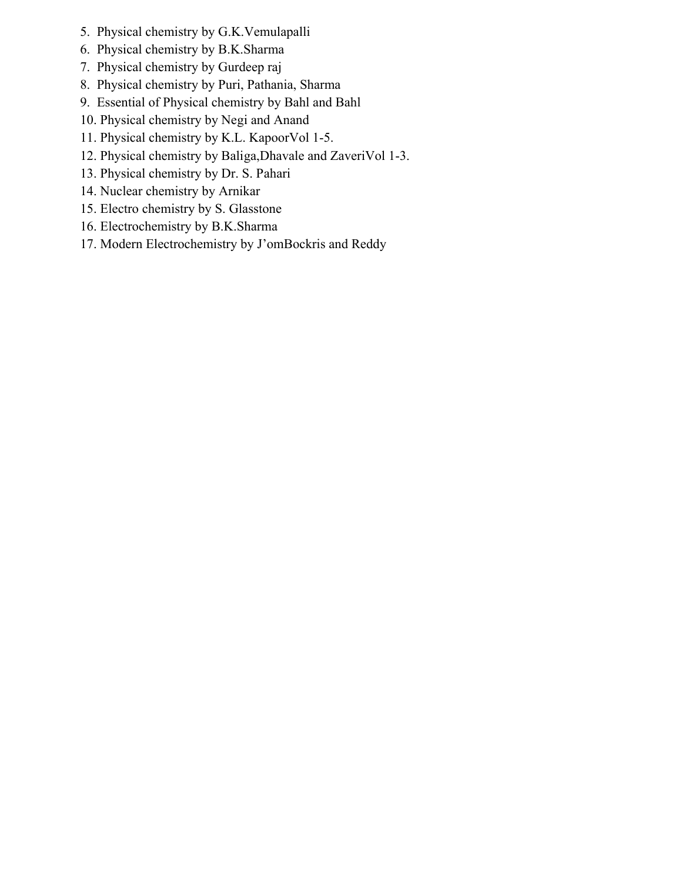- 5. Physical chemistry by G.K.Vemulapalli
- 6. Physical chemistry by B.K.Sharma
- 7. Physical chemistry by Gurdeep raj
- 8. Physical chemistry by Puri, Pathania, Sharma
- 9. Essential of Physical chemistry by Bahl and Bahl
- 10. Physical chemistry by Negi and Anand
- 11. Physical chemistry by K.L. KapoorVol 1-5.
- 12. Physical chemistry by Baliga,Dhavale and ZaveriVol 1-3.
- 13. Physical chemistry by Dr. S. Pahari
- 14. Nuclear chemistry by Arnikar
- 15. Electro chemistry by S. Glasstone
- 16. Electrochemistry by B.K.Sharma
- 17. Modern Electrochemistry by J'omBockris and Reddy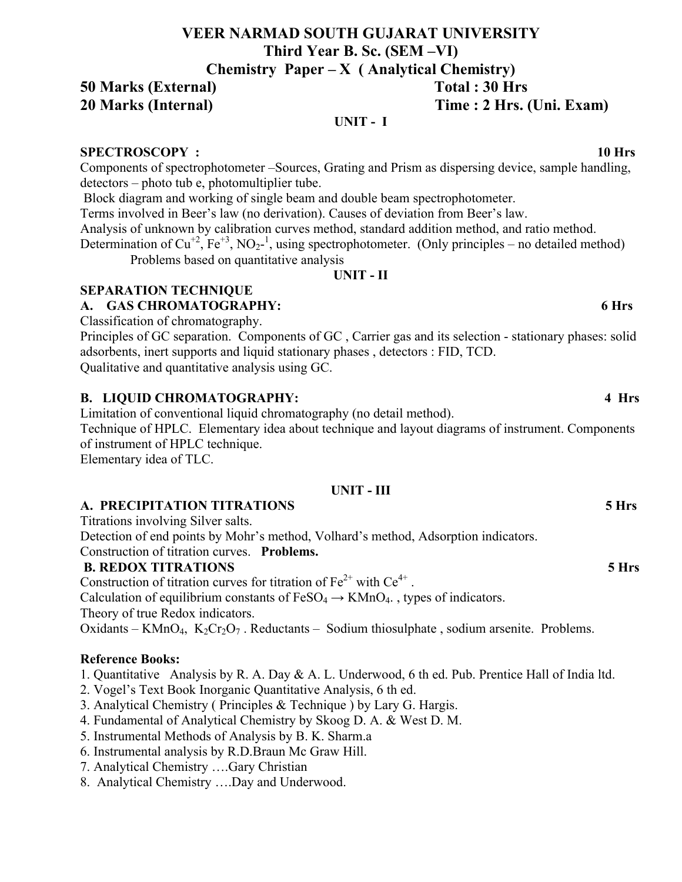# **VEER NARMAD SOUTH GUJARAT UNIVERSITY Third Year B. Sc. (SEM –VI) Chemistry Paper – X ( Analytical Chemistry)**

**50 Marks (External) Total : 30 Hrs** 

# **20 Marks (Internal) Time : 2 Hrs. (Uni. Exam)**

# **UNIT - I**

# **SPECTROSCOPY : 10 Hrs**

Components of spectrophotometer –Sources, Grating and Prism as dispersing device, sample handling, detectors – photo tub e, photomultiplier tube.

Block diagram and working of single beam and double beam spectrophotometer.

Terms involved in Beer's law (no derivation). Causes of deviation from Beer's law.

Analysis of unknown by calibration curves method, standard addition method, and ratio method.

Determination of Cu<sup>+2</sup>, Fe<sup>+3</sup>, NO<sub>2</sub><sup>-1</sup>, using spectrophotometer. (Only principles – no detailed method) Problems based on quantitative analysis

**UNIT - II**

# **SEPARATION TECHNIQUE**

# **A. GAS CHROMATOGRAPHY: 6 Hrs**

Classification of chromatography.

Principles of GC separation. Components of GC , Carrier gas and its selection - stationary phases: solid adsorbents, inert supports and liquid stationary phases , detectors : FID, TCD. Qualitative and quantitative analysis using GC.

# **B. LIQUID CHROMATOGRAPHY: 4 Hrs**

Limitation of conventional liquid chromatography (no detail method).

Technique of HPLC. Elementary idea about technique and layout diagrams of instrument. Components of instrument of HPLC technique.

Elementary idea of TLC.

# **UNIT - III**

# **A. PRECIPITATION TITRATIONS 5 Hrs**

Titrations involving Silver salts.

Detection of end points by Mohr's method, Volhard's method, Adsorption indicators.

# Construction of titration curves. **Problems.**

# **B. REDOX TITRATIONS 5 Hrs**

Construction of titration curves for titration of  $Fe^{2+}$  with  $Ce^{4+}$ .

Calculation of equilibrium constants of  $FeSO<sub>4</sub> \rightarrow K MnO<sub>4</sub>$ , types of indicators.

Theory of true Redox indicators.

Oxidants – KMnO<sub>4</sub>, K<sub>2</sub>Cr<sub>2</sub>O<sub>7</sub>. Reductants – Sodium thiosulphate, sodium arsenite. Problems.

# **Reference Books:**

- 1. Quantitative Analysis by R. A. Day & A. L. Underwood, 6 th ed. Pub. Prentice Hall of India ltd.
- 2. Vogel's Text Book Inorganic Quantitative Analysis, 6 th ed.
- 3. Analytical Chemistry ( Principles & Technique ) by Lary G. Hargis.
- 4. Fundamental of Analytical Chemistry by Skoog D. A. & West D. M.
- 5. Instrumental Methods of Analysis by B. K. Sharm.a
- 6. Instrumental analysis by R.D.Braun Mc Graw Hill.
- 7. Analytical Chemistry ….Gary Christian
- 8. Analytical Chemistry ….Day and Underwood.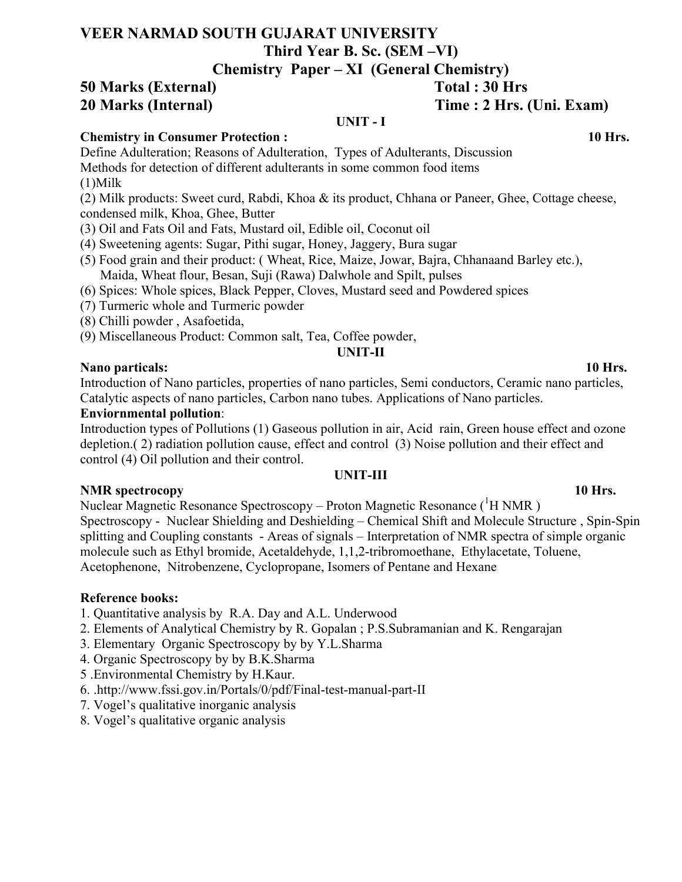# **VEER NARMAD SOUTH GUJARAT UNIVERSITY Third Year B. Sc. (SEM –VI)**

# **Chemistry Paper – XI (General Chemistry)**

**50 Marks (External) Total : 30 Hrs 20 Marks (Internal) Time : 2 Hrs. (Uni. Exam)** 

### **UNIT - I**

# **Chemistry in Consumer Protection : 10 Hrs.**

Define Adulteration; Reasons of Adulteration, Types of Adulterants, Discussion Methods for detection of different adulterants in some common food items

- (1)Milk
- (2) Milk products: Sweet curd, Rabdi, Khoa & its product, Chhana or Paneer, Ghee, Cottage cheese, condensed milk, Khoa, Ghee, Butter
- (3) Oil and Fats Oil and Fats, Mustard oil, Edible oil, Coconut oil
- (4) Sweetening agents: Sugar, Pithi sugar, Honey, Jaggery, Bura sugar
- (5) Food grain and their product: ( Wheat, Rice, Maize, Jowar, Bajra, Chhanaand Barley etc.), Maida, Wheat flour, Besan, Suji (Rawa) Dalwhole and Spilt, pulses
- (6) Spices: Whole spices, Black Pepper, Cloves, Mustard seed and Powdered spices
- (7) Turmeric whole and Turmeric powder
- (8) Chilli powder , Asafoetida,
- (9) Miscellaneous Product: Common salt, Tea, Coffee powder,

# **UNIT-II**

## **Nano particals: 10 Hrs.**

Introduction of Nano particles, properties of nano particles, Semi conductors, Ceramic nano particles, Catalytic aspects of nano particles, Carbon nano tubes. Applications of Nano particles.

## **Enviornmental pollution**:

Introduction types of Pollutions (1) Gaseous pollution in air, Acid rain, Green house effect and ozone depletion.( 2) radiation pollution cause, effect and control (3) Noise pollution and their effect and control (4) Oil pollution and their control.

# **UNIT-III**

### **NMR spectrocopy 10 Hrs.**

Nuclear Magnetic Resonance Spectroscopy – Proton Magnetic Resonance (<sup>1</sup>H NMR) Spectroscopy - Nuclear Shielding and Deshielding – Chemical Shift and Molecule Structure , Spin-Spin splitting and Coupling constants - Areas of signals – Interpretation of NMR spectra of simple organic molecule such as Ethyl bromide, Acetaldehyde, 1,1,2-tribromoethane, Ethylacetate, Toluene, Acetophenone, Nitrobenzene, Cyclopropane, Isomers of Pentane and Hexane

# **Reference books:**

- 1. Quantitative analysis by R.A. Day and A.L. Underwood
- 2. Elements of Analytical Chemistry by R. Gopalan ; P.S.Subramanian and K. Rengarajan
- 3. Elementary Organic Spectroscopy by by Y.L.Sharma
- 4. Organic Spectroscopy by by B.K.Sharma
- 5 .Environmental Chemistry by H.Kaur.
- 6. .http://www.fssi.gov.in/Portals/0/pdf/Final-test-manual-part-II
- 7. Vogel's qualitative inorganic analysis
- 8. Vogel's qualitative organic analysis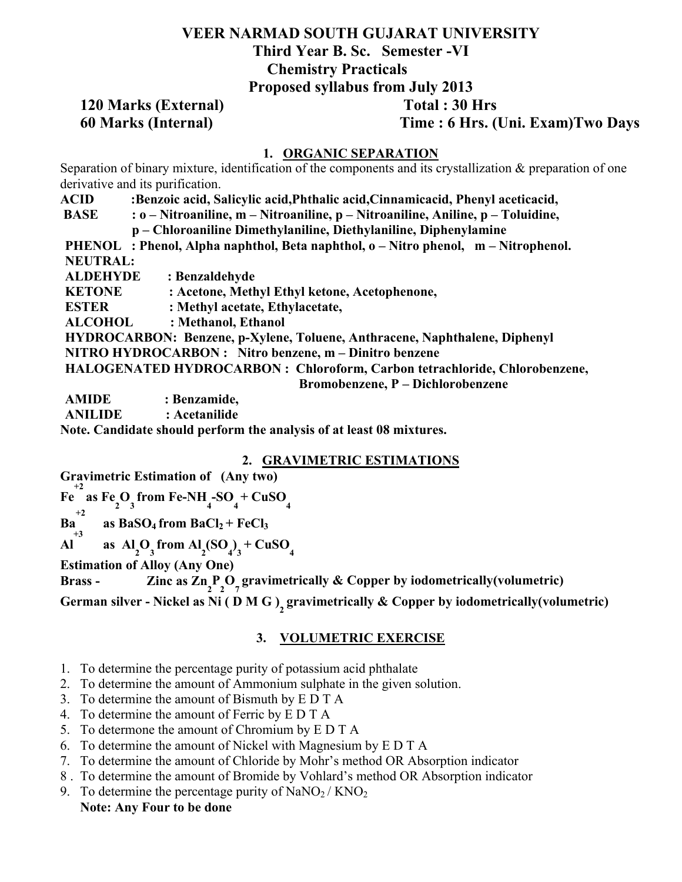# **VEER NARMAD SOUTH GUJARAT UNIVERSITY Third Year B. Sc. Semester -VI Chemistry Practicals Proposed syllabus from July 2013**

# **120 Marks (External) Total : 30 Hrs**

**60 Marks (Internal) Time : 6 Hrs. (Uni. Exam)Two Days**

## **1. ORGANIC SEPARATION**

Separation of binary mixture, identification of the components and its crystallization & preparation of one derivative and its purification.

- **ACID :Benzoic acid, Salicylic acid,Phthalic acid,Cinnamicacid, Phenyl aceticacid,**
- **BASE : o Nitroaniline, m Nitroaniline, p Nitroaniline, Aniline, p Toluidine,** 
	- **p Chloroaniline Dimethylaniline, Diethylaniline, Diphenylamine**

PHENOL : Phenol, Alpha naphthol, Beta naphthol, o – Nitro phenol, m – Nitrophenol. **NEUTRAL:** 

**ALDEHYDE : Benzaldehyde** 

**KETONE : Acetone, Methyl Ethyl ketone, Acetophenone,** 

**ESTER : Methyl acetate, Ethylacetate,** 

**ALCOHOL : Methanol, Ethanol** 

**HYDROCARBON: Benzene, p-Xylene, Toluene, Anthracene, Naphthalene, Diphenyl** 

**NITRO HYDROCARBON : Nitro benzene, m – Dinitro benzene** 

**HALOGENATED HYDROCARBON : Chloroform, Carbon tetrachloride, Chlorobenzene,** 

 **Bromobenzene, P – Dichlorobenzene** 

**AMIDE : Benzamide,** 

**ANILIDE : Acetanilide**

**Note. Candidate should perform the analysis of at least 08 mixtures.**

# **2. GRAVIMETRIC ESTIMATIONS**

**Gravimetric Estimation of (Any two)**

**Fe**  $^{+2}$  **as Fe**<sub>2</sub>**O**<sub>3</sub> from Fe-NH<sub>4</sub>-SO<sub>4</sub> + CuSO<sub>4</sub>

**Ba**  $+2$ as  $BaSO_4$  from  $BaCl_2$  +  $FeCl_3$ 

**Al +3 as**  $A_1^I O_3^I$  from  $A_2^I (SO_4^I)_3^I + C u SO_4^I$ 

**Estimation of Alloy (Any One)**

**Brass - Zinc as**  $\text{Zn}_{2} \text{P}_{2} \text{O}_{7}$  **gravimetrically & Copper by iodometrically(volumetric)** 

German silver - Nickel as Ni ( D M G )<sub>2</sub> gravimetrically & Copper by iodometrically(volumetric)

# **3. VOLUMETRIC EXERCISE**

- 1. To determine the percentage purity of potassium acid phthalate
- 2. To determine the amount of Ammonium sulphate in the given solution.
- 3. To determine the amount of Bismuth by E D T A
- 4. To determine the amount of Ferric by E D T A
- 5. To determone the amount of Chromium by E D T A
- 6. To determine the amount of Nickel with Magnesium by E D T A
- 7. To determine the amount of Chloride by Mohr's method OR Absorption indicator
- 8 . To determine the amount of Bromide by Vohlard's method OR Absorption indicator
- 9. To determine the percentage purity of  $\text{NaNO}_2 / \text{KNO}_2$  **Note: Any Four to be done**